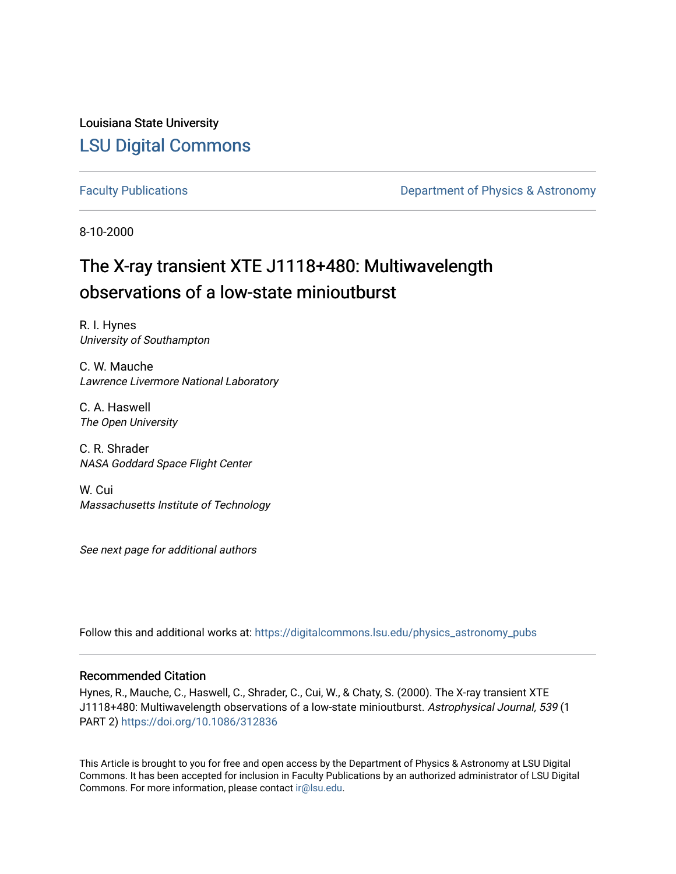Louisiana State University [LSU Digital Commons](https://digitalcommons.lsu.edu/)

[Faculty Publications](https://digitalcommons.lsu.edu/physics_astronomy_pubs) **Exercise 2 and Table 2 and Table 2 and Table 2 and Table 2 and Table 2 and Table 2 and Table 2 and Table 2 and Table 2 and Table 2 and Table 2 and Table 2 and Table 2 and Table 2 and Table 2 and Table** 

8-10-2000

# The X-ray transient XTE J1118+480: Multiwavelength observations of a low-state minioutburst

R. I. Hynes University of Southampton

C. W. Mauche Lawrence Livermore National Laboratory

C. A. Haswell The Open University

C. R. Shrader NASA Goddard Space Flight Center

W. Cui Massachusetts Institute of Technology

See next page for additional authors

Follow this and additional works at: [https://digitalcommons.lsu.edu/physics\\_astronomy\\_pubs](https://digitalcommons.lsu.edu/physics_astronomy_pubs?utm_source=digitalcommons.lsu.edu%2Fphysics_astronomy_pubs%2F2665&utm_medium=PDF&utm_campaign=PDFCoverPages) 

## Recommended Citation

Hynes, R., Mauche, C., Haswell, C., Shrader, C., Cui, W., & Chaty, S. (2000). The X-ray transient XTE J1118+480: Multiwavelength observations of a low-state minioutburst. Astrophysical Journal, 539 (1 PART 2) <https://doi.org/10.1086/312836>

This Article is brought to you for free and open access by the Department of Physics & Astronomy at LSU Digital Commons. It has been accepted for inclusion in Faculty Publications by an authorized administrator of LSU Digital Commons. For more information, please contact [ir@lsu.edu](mailto:ir@lsu.edu).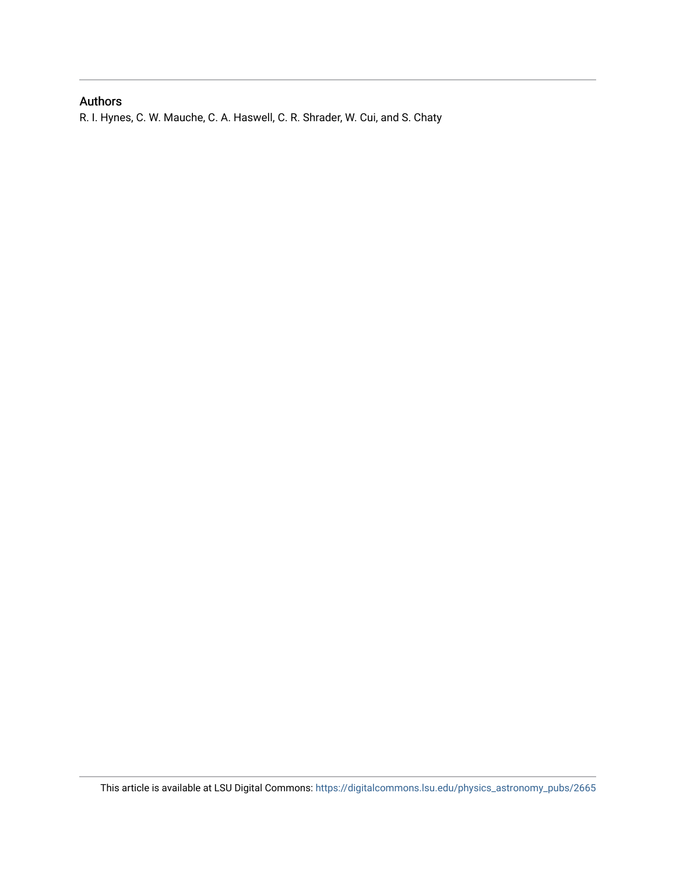# Authors

R. I. Hynes, C. W. Mauche, C. A. Haswell, C. R. Shrader, W. Cui, and S. Chaty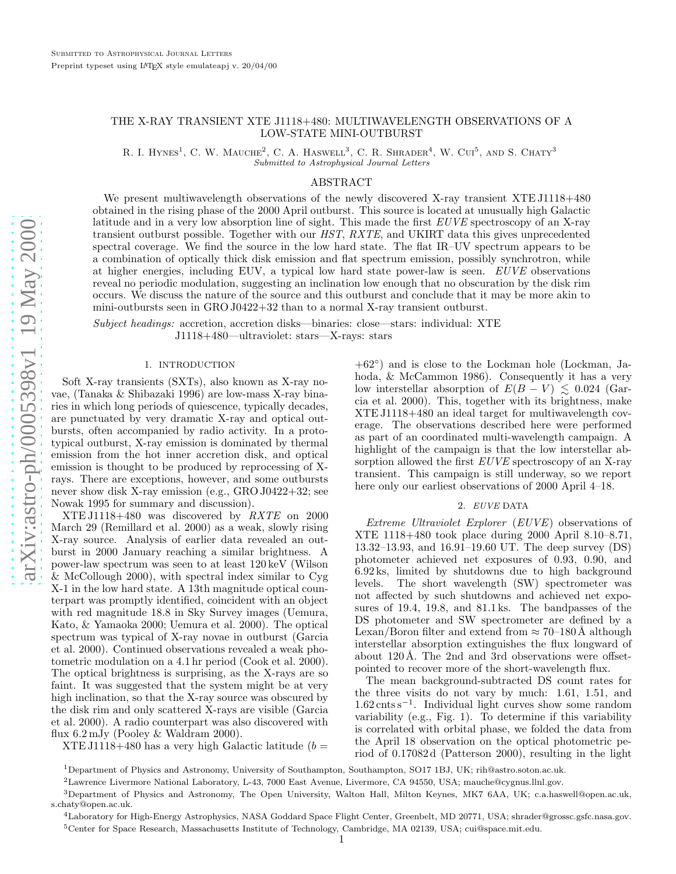### THE X-RAY TRANSIENT XTE J1118+480: MULTIWAVELENGTH OBSERVATIONS OF A LOW-STATE MINI-OUTBURST

R. I. HYNES<sup>1</sup>, C. W. MAUCHE<sup>2</sup>, C. A. HASWELL<sup>3</sup>, C. R. SHRADER<sup>4</sup>, W. CUI<sup>5</sup>, AND S. CHATY<sup>3</sup> Submitted to Astrophysical Journal Letters

#### ABSTRACT

We present multiwavelength observations of the newly discovered X-ray transient XTE J1118+480 obtained in the rising phase of the 2000 April outburst. This source is located at unusually high Galactic latitude and in a very low absorption line of sight. This made the first EUVE spectroscopy of an X-ray transient outburst possible. Together with our HST, RXTE, and UKIRT data this gives unprecedented spectral coverage. We find the source in the low hard state. The flat IR–UV spectrum appears to be a combination of optically thick disk emission and flat spectrum emission, possibly synchrotron, while at higher energies, including EUV, a typical low hard state power-law is seen. EUVE observations reveal no periodic modulation, suggesting an inclination low enough that no obscuration by the disk rim occurs. We discuss the nature of the source and this outburst and conclude that it may be more akin to mini-outbursts seen in GRO J0422+32 than to a normal X-ray transient outburst.

Subject headings: accretion, accretion disks—binaries: close—stars: individual: XTE J1118+480—ultraviolet: stars—X-rays: stars

#### 1. INTRODUCTION

Soft X-ray transients (SXTs), also known as X-ray novae, (Tanaka & Shibazaki 1996) are low-mass X-ray binaries in which long periods of quiescence, typically decades, are punctuated by very dramatic X-ray and optical outbursts, often accompanied by radio activity. In a prototypical outburst, X-ray emission is dominated by thermal emission from the hot inner accretion disk, and optical emission is thought to be produced by reprocessing of Xrays. There are exceptions, however, and some outbursts never show disk X-ray emission (e.g., GRO J0422+32; see Nowak 1995 for summary and discussion).

XTE J1118+480 was discovered by RXTE on 2000 March 29 (Remillard et al. 2000) as a weak, slowly rising X-ray source. Analysis of earlier data revealed an outburst in 2000 January reaching a similar brightness. A power-law spectrum was seen to at least 120 keV (Wilson & McCollough 2000), with spectral index similar to Cyg X-1 in the low hard state. A 13th magnitude optical counterpart was promptly identified, coincident with an object with red magnitude 18.8 in Sky Survey images (Uemura, Kato, & Yamaoka 2000; Uemura et al. 2000). The optical spectrum was typical of X-ray novae in outburst (Garcia et al. 2000). Continued observations revealed a weak photometric modulation on a 4.1 hr period (Cook et al. 2000). The optical brightness is surprising, as the X-rays are so faint. It was suggested that the system might be at very high inclination, so that the X-ray source was obscured by the disk rim and only scattered X-rays are visible (Garcia et al. 2000). A radio counterpart was also discovered with flux 6.2 mJy (Pooley & Waldram 2000).

XTE J1118+480 has a very high Galactic latitude  $(b =$ 

+62 ◦ ) and is close to the Lockman hole (Lockman, Jahoda, & McCammon 1986). Consequently it has a very low interstellar absorption of  $E(B - V) \leq 0.024$  (Garcia et al. 2000). This, together with its brightness, make XTE J1118+480 an ideal target for multiwavelength coverage. The observations described here were performed as part of an coordinated multi-wavelength campaign. A highlight of the campaign is that the low interstellar absorption allowed the first  $EUVE$  spectroscopy of an X-ray transient. This campaign is still underway, so we report here only our earliest observations of 2000 April 4–18.

#### 2. EUVE DATA

Extreme Ultraviolet Explorer (EUVE) observations of XTE 1118+480 took place during 2000 April 8.10–8.71, 13.32–13.93, and 16.91–19.60 UT. The deep survey (DS) photometer achieved net exposures of 0.93, 0.90, and 6.92 ks, limited by shutdowns due to high background levels. The short wavelength (SW) spectrometer was not affected by such shutdowns and achieved net exposures of 19.4, 19.8, and 81.1 ks. The bandpasses of the DS photometer and SW spectrometer are defined by a Lexan/Boron filter and extend from  $\approx 70$ –180 Å although interstellar absorption extinguishes the flux longward of about 120 Å. The 2nd and 3rd observations were offsetpointed to recover more of the short-wavelength flux.

The mean background-subtracted DS count rates for the three visits do not vary by much: 1.61, 1.51, and 1.62 cnts s − 1 . Individual light curves show some random variability (e.g., Fig. 1). To determine if this variability is correlated with orbital phase, we folded the data from the April 18 observation on the optical photometric period of 0.17082 d (Patterson 2000), resulting in the light

<sup>1</sup>Department of Physics and Astronomy, University of Southampton, Southampton, SO17 1BJ, UK; rih@astro.soton.ac.uk.

<sup>2</sup>Lawrence Livermore National Laboratory, L-43, 7000 East Avenue, Livermore, CA 94550, USA; mauche@cygnus.llnl.gov.

<sup>3</sup>Department of Physics and Astronomy, The Open University, Walton Hall, Milton Keynes, MK7 6AA, UK; c.a.haswell@open.ac.uk, s.chaty@open.ac.uk.

<sup>4</sup>Laboratory for High-Energy Astrophysics, NASA Goddard Space Flight Center, Greenbelt, MD 20771, USA; shrader@grossc.gsfc.nasa.gov. <sup>5</sup>Center for Space Research, Massachusetts Institute of Technology, Cambridge, MA 02139, USA; cui@space.mit.edu.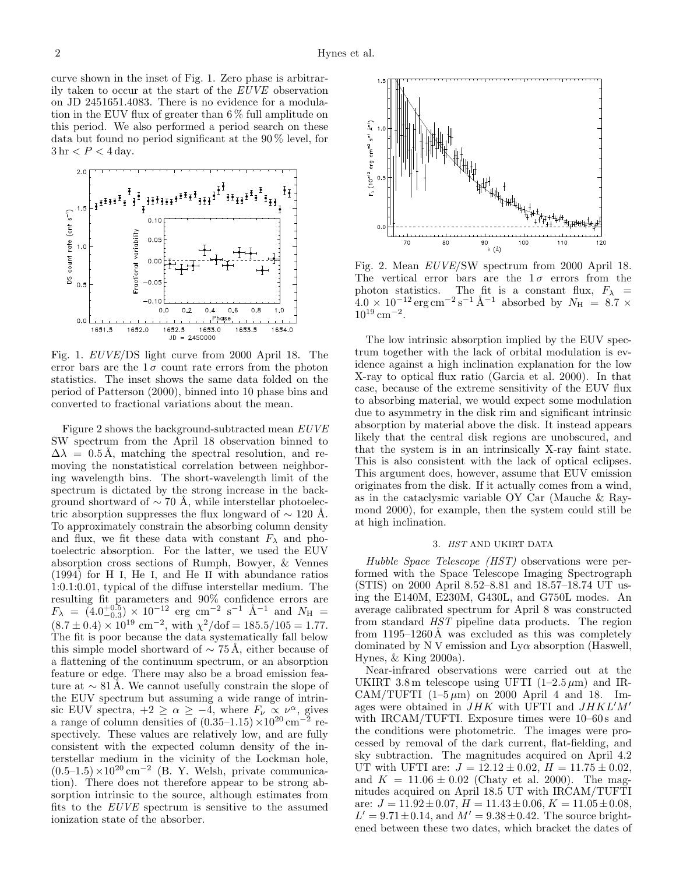curve shown in the inset of Fig. 1. Zero phase is arbitrarily taken to occur at the start of the EUVE observation on JD 2451651.4083. There is no evidence for a modulation in the EUV flux of greater than 6 % full amplitude on this period. We also performed a period search on these data but found no period significant at the 90 % level, for  $3 \text{ hr} < P < 4 \text{ day}.$ 



Fig. 1. EUVE/DS light curve from 2000 April 18. The error bars are the  $1\sigma$  count rate errors from the photon statistics. The inset shows the same data folded on the period of Patterson (2000), binned into 10 phase bins and converted to fractional variations about the mean.

Figure 2 shows the background-subtracted mean EUVE SW spectrum from the April 18 observation binned to  $\Delta\lambda = 0.5$  Å, matching the spectral resolution, and removing the nonstatistical correlation between neighboring wavelength bins. The short-wavelength limit of the spectrum is dictated by the strong increase in the background shortward of  $\sim$  70 Å, while interstellar photoelectric absorption suppresses the flux longward of  $\sim 120$  Å. To approximately constrain the absorbing column density and flux, we fit these data with constant  $F_{\lambda}$  and photoelectric absorption. For the latter, we used the EUV absorption cross sections of Rumph, Bowyer, & Vennes (1994) for H I, He I, and He II with abundance ratios 1:0.1:0.01, typical of the diffuse interstellar medium. The resulting fit parameters and 90% confidence errors are  $F_{\lambda} = (4.0^{+0.5}_{-0.3}) \times 10^{-12}$  erg cm<sup>-2</sup> s<sup>-1</sup> Å<sup>-1</sup> and  $N_{\rm H}$  =  $(8.7 \pm 0.4) \times 10^{19}$  cm<sup>-2</sup>, with  $\chi^2/\text{dof} = 185.5/105 = 1.77$ . The fit is poor because the data systematically fall below this simple model shortward of  $\sim$  75 Å, either because of a flattening of the continuum spectrum, or an absorption feature or edge. There may also be a broad emission feature at  $\sim 81 \text{ Å}$ . We cannot usefully constrain the slope of the EUV spectrum but assuming a wide range of intrinsic EUV spectra,  $+2 \ge \alpha \ge -4$ , where  $F_{\nu} \propto \nu^{\alpha}$ , gives a range of column densities of  $(0.35-1.15) \times 10^{20}$  cm<sup>-2</sup> respectively. These values are relatively low, and are fully consistent with the expected column density of the interstellar medium in the vicinity of the Lockman hole,  $(0.5-1.5)\times10^{20}$  cm<sup>-2</sup> (B. Y. Welsh, private communication). There does not therefore appear to be strong absorption intrinsic to the source, although estimates from fits to the EUVE spectrum is sensitive to the assumed ionization state of the absorber.



Fig. 2. Mean EUVE/SW spectrum from 2000 April 18. The vertical error bars are the  $1\sigma$  errors from the photon statistics. The fit is a constant flux,  $F_{\lambda}$  =  $4.0 \times 10^{-12} \text{ erg cm}^{-2} \text{s}^{-1} \text{ Å}^{-1}$  absorbed by  $N_{\text{H}} = 8.7 \times$  $10^{19}$  cm<sup>-2</sup>.

The low intrinsic absorption implied by the EUV spectrum together with the lack of orbital modulation is evidence against a high inclination explanation for the low X-ray to optical flux ratio (Garcia et al. 2000). In that case, because of the extreme sensitivity of the EUV flux to absorbing material, we would expect some modulation due to asymmetry in the disk rim and significant intrinsic absorption by material above the disk. It instead appears likely that the central disk regions are unobscured, and that the system is in an intrinsically X-ray faint state. This is also consistent with the lack of optical eclipses. This argument does, however, assume that EUV emission originates from the disk. If it actually comes from a wind, as in the cataclysmic variable OY Car (Mauche & Raymond 2000), for example, then the system could still be at high inclination.

#### 3. HST AND UKIRT DATA

Hubble Space Telescope (HST) observations were performed with the Space Telescope Imaging Spectrograph (STIS) on 2000 April 8.52–8.81 and 18.57–18.74 UT using the E140M, E230M, G430L, and G750L modes. An average calibrated spectrum for April 8 was constructed from standard HST pipeline data products. The region from  $1195-1260\text{\AA}$  was excluded as this was completely dominated by N V emission and  $Ly\alpha$  absorption (Haswell, Hynes, & King 2000a).

Near-infrared observations were carried out at the UKIRT 3.8 m telescope using UFTI  $(1-2.5 \,\mu\text{m})$  and IR-CAM/TUFTI  $(1-5 \mu m)$  on 2000 April 4 and 18. Images were obtained in  $JHK$  with UFTI and  $JHKL'M'$ with IRCAM/TUFTI. Exposure times were  $10-60$  s and the conditions were photometric. The images were processed by removal of the dark current, flat-fielding, and sky subtraction. The magnitudes acquired on April 4.2 UT with UFTI are:  $J = 12.12 \pm 0.02$ ,  $H = 11.75 \pm 0.02$ , and  $K = 11.06 \pm 0.02$  (Chaty et al. 2000). The magnitudes acquired on April 18.5 UT with IRCAM/TUFTI are:  $J = 11.92 \pm 0.07$ ,  $H = 11.43 \pm 0.06$ ,  $K = 11.05 \pm 0.08$ ,  $L' = 9.71 \pm 0.14$ , and  $M' = 9.38 \pm 0.42$ . The source brightened between these two dates, which bracket the dates of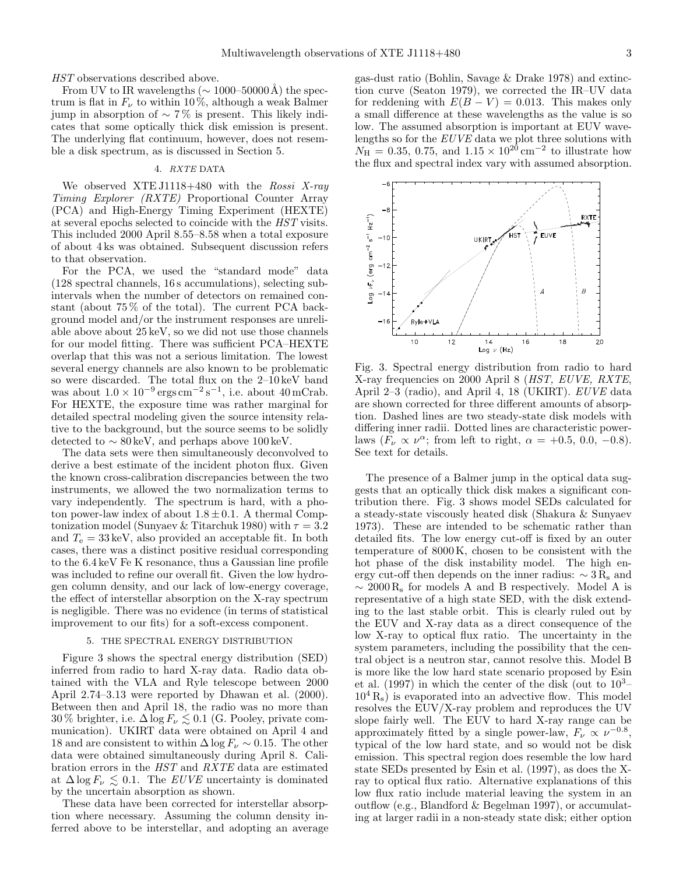HST observations described above.

From UV to IR wavelengths ( $\sim 1000$ –50000Å) the spectrum is flat in  $F_{\nu}$  to within 10%, although a weak Balmer jump in absorption of ∼ 7 % is present. This likely indicates that some optically thick disk emission is present. The underlying flat continuum, however, does not resemble a disk spectrum, as is discussed in Section 5.

#### 4. RXTE DATA

We observed XTE J1118+480 with the Rossi X-ray Timing Explorer (RXTE) Proportional Counter Array (PCA) and High-Energy Timing Experiment (HEXTE) at several epochs selected to coincide with the HST visits. This included 2000 April 8.55–8.58 when a total exposure of about 4 ks was obtained. Subsequent discussion refers to that observation.

For the PCA, we used the "standard mode" data (128 spectral channels, 16 s accumulations), selecting subintervals when the number of detectors on remained constant (about 75 % of the total). The current PCA background model and/or the instrument responses are unreliable above about 25 keV, so we did not use those channels for our model fitting. There was sufficient PCA–HEXTE overlap that this was not a serious limitation. The lowest several energy channels are also known to be problematic so were discarded. The total flux on the 2–10 keV band was about  $1.0 \times 10^{-9}$  ergs cm<sup>-2</sup>s<sup>-1</sup>, i.e. about 40 mCrab. For HEXTE, the exposure time was rather marginal for detailed spectral modeling given the source intensity relative to the background, but the source seems to be solidly detected to  $\sim 80 \,\text{keV}$ , and perhaps above 100 keV.

The data sets were then simultaneously deconvolved to derive a best estimate of the incident photon flux. Given the known cross-calibration discrepancies between the two instruments, we allowed the two normalization terms to vary independently. The spectrum is hard, with a photon power-law index of about  $1.8 \pm 0.1$ . A thermal Comptonization model (Sunyaev & Titarchuk 1980) with  $\tau = 3.2$ and  $T_e = 33 \,\text{keV}$ , also provided an acceptable fit. In both cases, there was a distinct positive residual corresponding to the 6.4 keV Fe K resonance, thus a Gaussian line profile was included to refine our overall fit. Given the low hydrogen column density, and our lack of low-energy coverage, the effect of interstellar absorption on the X-ray spectrum is negligible. There was no evidence (in terms of statistical improvement to our fits) for a soft-excess component.

#### 5. THE SPECTRAL ENERGY DISTRIBUTION

Figure 3 shows the spectral energy distribution (SED) inferred from radio to hard X-ray data. Radio data obtained with the VLA and Ryle telescope between 2000 April 2.74–3.13 were reported by Dhawan et al. (2000). Between then and April 18, the radio was no more than 30 % brighter, i.e.  $\Delta \log F_{\nu} \lesssim 0.1$  (G. Pooley, private communication). UKIRT data were obtained on April 4 and 18 and are consistent to within  $\Delta \log F_{\nu} \sim 0.15$ . The other data were obtained simultaneously during April 8. Calibration errors in the HST and RXTE data are estimated at  $\Delta \log F_\nu \leq 0.1$ . The *EUVE* uncertainty is dominated by the uncertain absorption as shown.

These data have been corrected for interstellar absorption where necessary. Assuming the column density inferred above to be interstellar, and adopting an average gas-dust ratio (Bohlin, Savage & Drake 1978) and extinction curve (Seaton 1979), we corrected the IR–UV data for reddening with  $E(B - V) = 0.013$ . This makes only a small difference at these wavelengths as the value is so low. The assumed absorption is important at EUV wavelengths so for the EUVE data we plot three solutions with  $N_{\rm H} = 0.35, 0.75, \text{ and } 1.15 \times 10^{20} \text{ cm}^{-2}$  to illustrate how the flux and spectral index vary with assumed absorption.



Fig. 3. Spectral energy distribution from radio to hard X-ray frequencies on 2000 April 8 (HST, EUVE, RXTE, April 2–3 (radio), and April 4, 18 (UKIRT). *EUVE* data are shown corrected for three different amounts of absorption. Dashed lines are two steady-state disk models with differing inner radii. Dotted lines are characteristic powerlaws  $(\mathcal{F}_{\nu} \propto \nu^{\alpha}$ ; from left to right,  $\alpha = +0.5, 0.0, -0.8$ ). See text for details.

The presence of a Balmer jump in the optical data suggests that an optically thick disk makes a significant contribution there. Fig. 3 shows model SEDs calculated for a steady-state viscously heated disk (Shakura & Sunyaev 1973). These are intended to be schematic rather than detailed fits. The low energy cut-off is fixed by an outer temperature of 8000 K, chosen to be consistent with the hot phase of the disk instability model. The high energy cut-off then depends on the inner radius:  $\sim 3 \text{ R}_s$  and  $\sim 2000 \,\mathrm{R_s}$  for models A and B respectively. Model A is representative of a high state SED, with the disk extending to the last stable orbit. This is clearly ruled out by the EUV and X-ray data as a direct consequence of the low X-ray to optical flux ratio. The uncertainty in the system parameters, including the possibility that the central object is a neutron star, cannot resolve this. Model B is more like the low hard state scenario proposed by Esin et al. (1997) in which the center of the disk (out to  $10^{3}$ –  $10^4$  R<sub>s</sub>) is evaporated into an advective flow. This model resolves the EUV/X-ray problem and reproduces the UV slope fairly well. The EUV to hard X-ray range can be approximately fitted by a single power-law,  $F_{\nu} \propto \nu^{-0.8}$ , typical of the low hard state, and so would not be disk emission. This spectral region does resemble the low hard state SEDs presented by Esin et al. (1997), as does the Xray to optical flux ratio. Alternative explanations of this low flux ratio include material leaving the system in an outflow (e.g., Blandford & Begelman 1997), or accumulating at larger radii in a non-steady state disk; either option